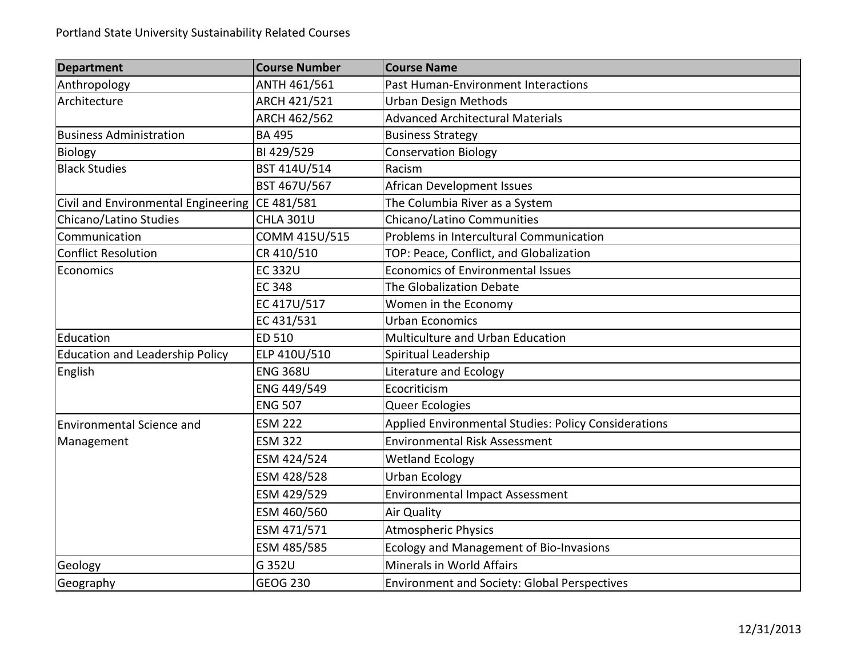| <b>Department</b>                      | <b>Course Number</b> | <b>Course Name</b>                                   |
|----------------------------------------|----------------------|------------------------------------------------------|
| Anthropology                           | ANTH 461/561         | Past Human-Environment Interactions                  |
| Architecture                           | ARCH 421/521         | <b>Urban Design Methods</b>                          |
|                                        | ARCH 462/562         | <b>Advanced Architectural Materials</b>              |
| <b>Business Administration</b>         | <b>BA 495</b>        | <b>Business Strategy</b>                             |
| Biology                                | BI 429/529           | <b>Conservation Biology</b>                          |
| <b>Black Studies</b>                   | BST 414U/514         | Racism                                               |
|                                        | BST 467U/567         | <b>African Development Issues</b>                    |
| Civil and Environmental Engineering    | CE 481/581           | The Columbia River as a System                       |
| Chicano/Latino Studies                 | <b>CHLA 301U</b>     | Chicano/Latino Communities                           |
| Communication                          | COMM 415U/515        | Problems in Intercultural Communication              |
| <b>Conflict Resolution</b>             | CR 410/510           | TOP: Peace, Conflict, and Globalization              |
| Economics                              | <b>EC 332U</b>       | <b>Economics of Environmental Issues</b>             |
|                                        | <b>EC 348</b>        | The Globalization Debate                             |
|                                        | EC 417U/517          | Women in the Economy                                 |
|                                        | EC 431/531           | <b>Urban Economics</b>                               |
| Education                              | ED 510               | Multiculture and Urban Education                     |
| <b>Education and Leadership Policy</b> | ELP 410U/510         | Spiritual Leadership                                 |
| English                                | <b>ENG 368U</b>      | Literature and Ecology                               |
|                                        | ENG 449/549          | Ecocriticism                                         |
|                                        | <b>ENG 507</b>       | Queer Ecologies                                      |
| <b>Environmental Science and</b>       | <b>ESM 222</b>       | Applied Environmental Studies: Policy Considerations |
| Management                             | <b>ESM 322</b>       | <b>Environmental Risk Assessment</b>                 |
|                                        | ESM 424/524          | <b>Wetland Ecology</b>                               |
|                                        | ESM 428/528          | <b>Urban Ecology</b>                                 |
|                                        | ESM 429/529          | <b>Environmental Impact Assessment</b>               |
|                                        | ESM 460/560          | Air Quality                                          |
|                                        | ESM 471/571          | <b>Atmospheric Physics</b>                           |
|                                        | ESM 485/585          | Ecology and Management of Bio-Invasions              |
| Geology                                | G 352U               | Minerals in World Affairs                            |
| Geography                              | <b>GEOG 230</b>      | Environment and Society: Global Perspectives         |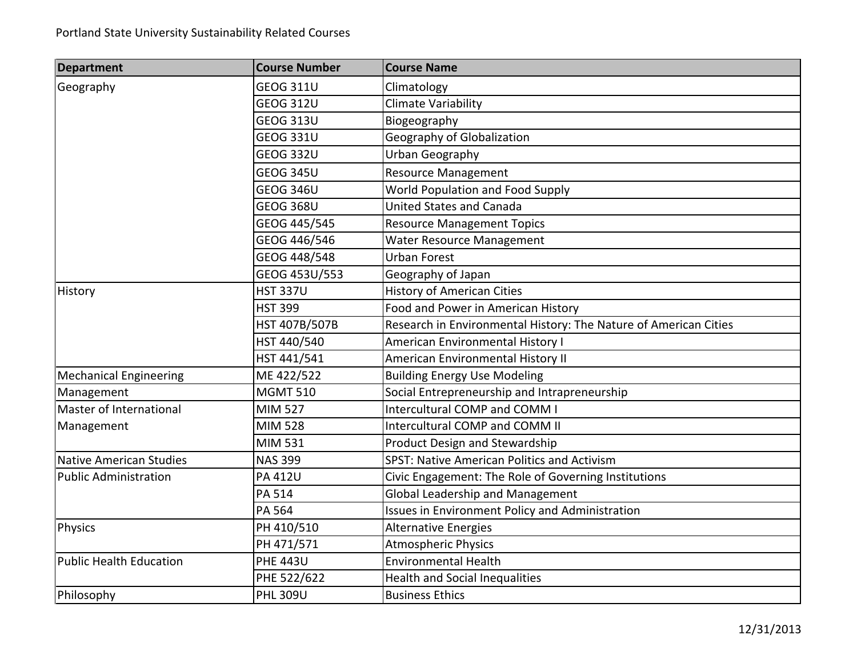| <b>Department</b>              | <b>Course Number</b> | <b>Course Name</b>                                               |
|--------------------------------|----------------------|------------------------------------------------------------------|
| Geography                      | <b>GEOG 311U</b>     | Climatology                                                      |
|                                | <b>GEOG 312U</b>     | <b>Climate Variability</b>                                       |
|                                | <b>GEOG 313U</b>     | Biogeography                                                     |
|                                | <b>GEOG 331U</b>     | Geography of Globalization                                       |
|                                | <b>GEOG 332U</b>     | Urban Geography                                                  |
|                                | <b>GEOG 345U</b>     | <b>Resource Management</b>                                       |
|                                | <b>GEOG 346U</b>     | World Population and Food Supply                                 |
|                                | <b>GEOG 368U</b>     | <b>United States and Canada</b>                                  |
|                                | GEOG 445/545         | <b>Resource Management Topics</b>                                |
|                                | GEOG 446/546         | Water Resource Management                                        |
|                                | GEOG 448/548         | <b>Urban Forest</b>                                              |
|                                | GEOG 453U/553        | Geography of Japan                                               |
| History                        | <b>HST 337U</b>      | <b>History of American Cities</b>                                |
|                                | <b>HST 399</b>       | Food and Power in American History                               |
|                                | HST 407B/507B        | Research in Environmental History: The Nature of American Cities |
|                                | HST 440/540          | American Environmental History I                                 |
|                                | HST 441/541          | American Environmental History II                                |
| <b>Mechanical Engineering</b>  | ME 422/522           | <b>Building Energy Use Modeling</b>                              |
| Management                     | <b>MGMT 510</b>      | Social Entrepreneurship and Intrapreneurship                     |
| Master of International        | <b>MIM 527</b>       | Intercultural COMP and COMM I                                    |
| Management                     | <b>MIM 528</b>       | Intercultural COMP and COMM II                                   |
|                                | MIM 531              | Product Design and Stewardship                                   |
| <b>Native American Studies</b> | <b>NAS 399</b>       | SPST: Native American Politics and Activism                      |
| <b>Public Administration</b>   | <b>PA 412U</b>       | Civic Engagement: The Role of Governing Institutions             |
|                                | PA 514               | <b>Global Leadership and Management</b>                          |
|                                | PA 564               | Issues in Environment Policy and Administration                  |
| <b>Physics</b>                 | PH 410/510           | <b>Alternative Energies</b>                                      |
|                                | PH 471/571           | <b>Atmospheric Physics</b>                                       |
| <b>Public Health Education</b> | <b>PHE 443U</b>      | <b>Environmental Health</b>                                      |
|                                | PHE 522/622          | <b>Health and Social Inequalities</b>                            |
| Philosophy                     | <b>PHL 309U</b>      | <b>Business Ethics</b>                                           |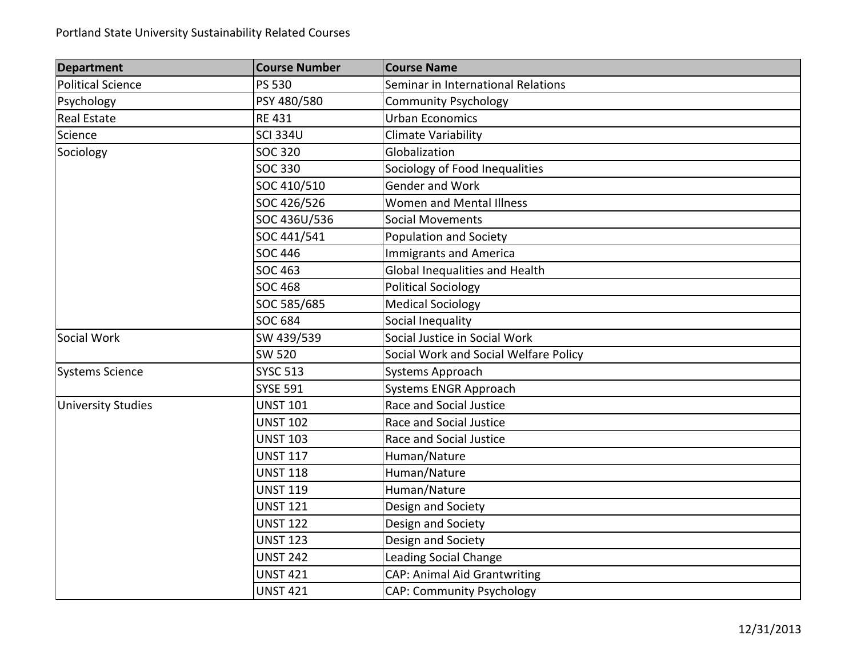## Portland State University Sustainability Related Courses

| <b>Department</b>         | <b>Course Number</b> | <b>Course Name</b>                    |
|---------------------------|----------------------|---------------------------------------|
| <b>Political Science</b>  | PS 530               | Seminar in International Relations    |
| Psychology                | PSY 480/580          | <b>Community Psychology</b>           |
| <b>Real Estate</b>        | <b>RE 431</b>        | <b>Urban Economics</b>                |
| Science                   | <b>SCI 334U</b>      | <b>Climate Variability</b>            |
| Sociology                 | <b>SOC 320</b>       | Globalization                         |
|                           | <b>SOC 330</b>       | Sociology of Food Inequalities        |
|                           | SOC 410/510          | Gender and Work                       |
|                           | SOC 426/526          | Women and Mental Illness              |
|                           | SOC 436U/536         | <b>Social Movements</b>               |
|                           | SOC 441/541          | Population and Society                |
|                           | <b>SOC 446</b>       | <b>Immigrants and America</b>         |
|                           | <b>SOC 463</b>       | Global Inequalities and Health        |
|                           | <b>SOC 468</b>       | <b>Political Sociology</b>            |
|                           | SOC 585/685          | <b>Medical Sociology</b>              |
|                           | <b>SOC 684</b>       | Social Inequality                     |
| Social Work               | SW 439/539           | Social Justice in Social Work         |
|                           | <b>SW 520</b>        | Social Work and Social Welfare Policy |
| <b>Systems Science</b>    | <b>SYSC 513</b>      | Systems Approach                      |
|                           | <b>SYSE 591</b>      | Systems ENGR Approach                 |
| <b>University Studies</b> | <b>UNST 101</b>      | Race and Social Justice               |
|                           | <b>UNST 102</b>      | Race and Social Justice               |
|                           | <b>UNST 103</b>      | Race and Social Justice               |
|                           | <b>UNST 117</b>      | Human/Nature                          |
|                           | <b>UNST 118</b>      | Human/Nature                          |
|                           | <b>UNST 119</b>      | Human/Nature                          |
|                           | <b>UNST 121</b>      | Design and Society                    |
|                           | <b>UNST 122</b>      | Design and Society                    |
|                           | <b>UNST 123</b>      | Design and Society                    |
|                           | <b>UNST 242</b>      | <b>Leading Social Change</b>          |
|                           | <b>UNST 421</b>      | <b>CAP: Animal Aid Grantwriting</b>   |
|                           | <b>UNST 421</b>      | <b>CAP: Community Psychology</b>      |